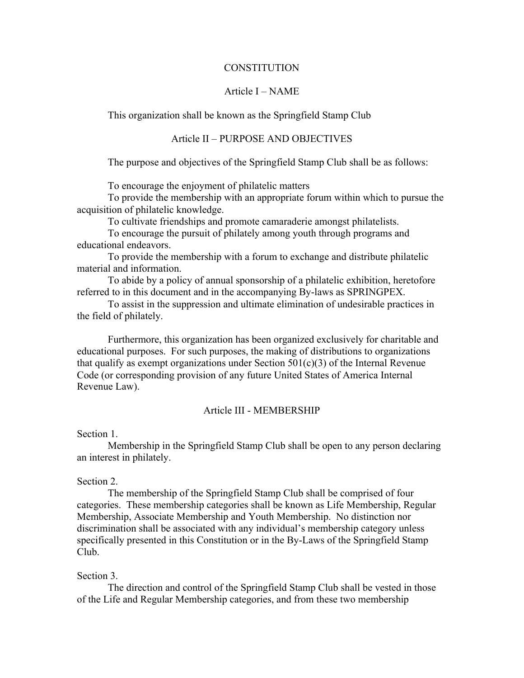## **CONSTITUTION**

## Article I – NAME

This organization shall be known as the Springfield Stamp Club

# Article II – PURPOSE AND OBJECTIVES

The purpose and objectives of the Springfield Stamp Club shall be as follows:

To encourage the enjoyment of philatelic matters

To provide the membership with an appropriate forum within which to pursue the acquisition of philatelic knowledge.

To cultivate friendships and promote camaraderie amongst philatelists.

To encourage the pursuit of philately among youth through programs and educational endeavors.

To provide the membership with a forum to exchange and distribute philatelic material and information.

To abide by a policy of annual sponsorship of a philatelic exhibition, heretofore referred to in this document and in the accompanying By-laws as SPRINGPEX.

To assist in the suppression and ultimate elimination of undesirable practices in the field of philately.

Furthermore, this organization has been organized exclusively for charitable and educational purposes. For such purposes, the making of distributions to organizations that qualify as exempt organizations under Section  $501(c)(3)$  of the Internal Revenue Code (or corresponding provision of any future United States of America Internal Revenue Law).

# Article III - MEMBERSHIP

#### Section 1.

Membership in the Springfield Stamp Club shall be open to any person declaring an interest in philately.

### Section 2.

The membership of the Springfield Stamp Club shall be comprised of four categories. These membership categories shall be known as Life Membership, Regular Membership, Associate Membership and Youth Membership. No distinction nor discrimination shall be associated with any individual's membership category unless specifically presented in this Constitution or in the By-Laws of the Springfield Stamp Club.

## Section 3.

The direction and control of the Springfield Stamp Club shall be vested in those of the Life and Regular Membership categories, and from these two membership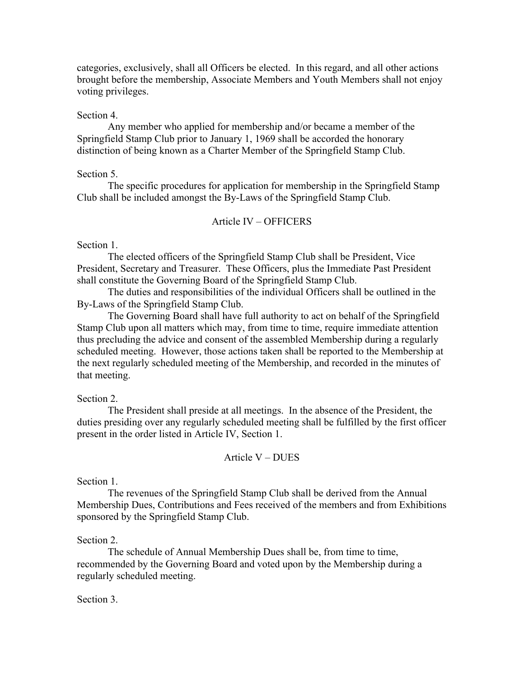categories, exclusively, shall all Officers be elected. In this regard, and all other actions brought before the membership, Associate Members and Youth Members shall not enjoy voting privileges.

## Section 4.

Any member who applied for membership and/or became a member of the Springfield Stamp Club prior to January 1, 1969 shall be accorded the honorary distinction of being known as a Charter Member of the Springfield Stamp Club.

### Section 5.

The specific procedures for application for membership in the Springfield Stamp Club shall be included amongst the By-Laws of the Springfield Stamp Club.

# Article IV – OFFICERS

# Section 1.

The elected officers of the Springfield Stamp Club shall be President, Vice President, Secretary and Treasurer. These Officers, plus the Immediate Past President shall constitute the Governing Board of the Springfield Stamp Club.

The duties and responsibilities of the individual Officers shall be outlined in the By-Laws of the Springfield Stamp Club.

The Governing Board shall have full authority to act on behalf of the Springfield Stamp Club upon all matters which may, from time to time, require immediate attention thus precluding the advice and consent of the assembled Membership during a regularly scheduled meeting. However, those actions taken shall be reported to the Membership at the next regularly scheduled meeting of the Membership, and recorded in the minutes of that meeting.

## Section 2.

The President shall preside at all meetings. In the absence of the President, the duties presiding over any regularly scheduled meeting shall be fulfilled by the first officer present in the order listed in Article IV, Section 1.

## Article V – DUES

Section 1.

The revenues of the Springfield Stamp Club shall be derived from the Annual Membership Dues, Contributions and Fees received of the members and from Exhibitions sponsored by the Springfield Stamp Club.

#### Section 2.

The schedule of Annual Membership Dues shall be, from time to time, recommended by the Governing Board and voted upon by the Membership during a regularly scheduled meeting.

## Section 3.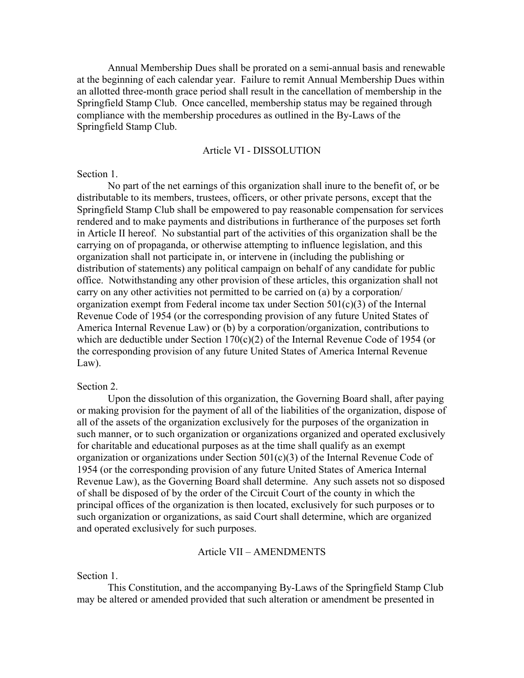Annual Membership Dues shall be prorated on a semi-annual basis and renewable at the beginning of each calendar year. Failure to remit Annual Membership Dues within an allotted three-month grace period shall result in the cancellation of membership in the Springfield Stamp Club. Once cancelled, membership status may be regained through compliance with the membership procedures as outlined in the By-Laws of the Springfield Stamp Club.

## Article VI - DISSOLUTION

### Section 1.

No part of the net earnings of this organization shall inure to the benefit of, or be distributable to its members, trustees, officers, or other private persons, except that the Springfield Stamp Club shall be empowered to pay reasonable compensation for services rendered and to make payments and distributions in furtherance of the purposes set forth in Article II hereof. No substantial part of the activities of this organization shall be the carrying on of propaganda, or otherwise attempting to influence legislation, and this organization shall not participate in, or intervene in (including the publishing or distribution of statements) any political campaign on behalf of any candidate for public office. Notwithstanding any other provision of these articles, this organization shall not carry on any other activities not permitted to be carried on (a) by a corporation/ organization exempt from Federal income tax under Section 501(c)(3) of the Internal Revenue Code of 1954 (or the corresponding provision of any future United States of America Internal Revenue Law) or (b) by a corporation/organization, contributions to which are deductible under Section 170(c)(2) of the Internal Revenue Code of 1954 (or the corresponding provision of any future United States of America Internal Revenue Law).

### Section 2.

Upon the dissolution of this organization, the Governing Board shall, after paying or making provision for the payment of all of the liabilities of the organization, dispose of all of the assets of the organization exclusively for the purposes of the organization in such manner, or to such organization or organizations organized and operated exclusively for charitable and educational purposes as at the time shall qualify as an exempt organization or organizations under Section 501(c)(3) of the Internal Revenue Code of 1954 (or the corresponding provision of any future United States of America Internal Revenue Law), as the Governing Board shall determine. Any such assets not so disposed of shall be disposed of by the order of the Circuit Court of the county in which the principal offices of the organization is then located, exclusively for such purposes or to such organization or organizations, as said Court shall determine, which are organized and operated exclusively for such purposes.

## Article VII – AMENDMENTS

### Section 1.

This Constitution, and the accompanying By-Laws of the Springfield Stamp Club may be altered or amended provided that such alteration or amendment be presented in